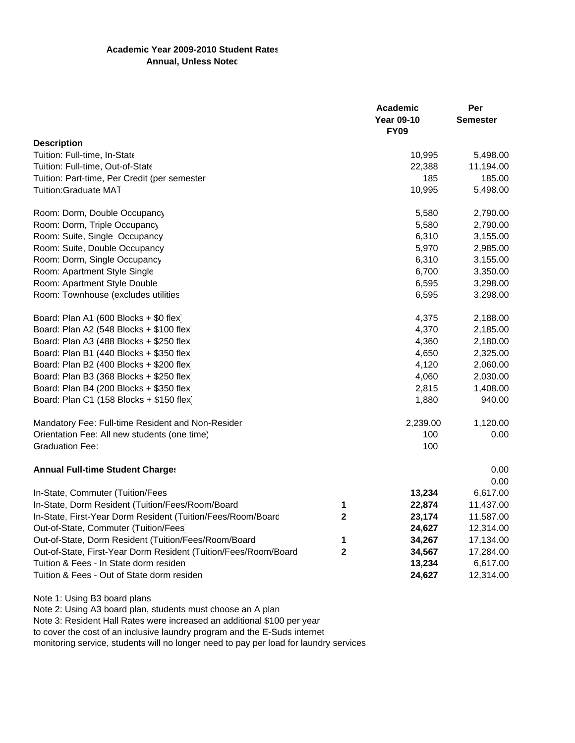## **Academic Year 2009-2010 Student Rates Annual, Unless Notec**

|                                                                 |                   | Academic        | Per       |
|-----------------------------------------------------------------|-------------------|-----------------|-----------|
|                                                                 | <b>Year 09-10</b> | <b>Semester</b> |           |
|                                                                 |                   | <b>FY09</b>     |           |
| <b>Description</b>                                              |                   |                 |           |
| Tuition: Full-time, In-State                                    |                   | 10,995          | 5,498.00  |
| Tuition: Full-time, Out-of-State                                |                   | 22,388          | 11,194.00 |
| Tuition: Part-time, Per Credit (per semester                    |                   | 185             | 185.00    |
| Tuition:Graduate MAT                                            |                   | 10,995          | 5,498.00  |
| Room: Dorm, Double Occupancy                                    |                   | 5,580           | 2,790.00  |
| Room: Dorm, Triple Occupancy                                    |                   | 5,580           | 2,790.00  |
| Room: Suite, Single Occupancy                                   |                   | 6,310           | 3,155.00  |
| Room: Suite, Double Occupancy                                   |                   | 5,970           | 2,985.00  |
| Room: Dorm, Single Occupancy                                    |                   | 6,310           | 3,155.00  |
| Room: Apartment Style Single                                    |                   | 6,700           | 3,350.00  |
| Room: Apartment Style Double                                    |                   | 6,595           | 3,298.00  |
| Room: Townhouse (excludes utilities                             |                   | 6,595           | 3,298.00  |
| Board: Plan A1 (600 Blocks + \$0 flex)                          |                   | 4,375           | 2,188.00  |
| Board: Plan A2 (548 Blocks + \$100 flex)                        |                   | 4,370           | 2,185.00  |
| Board: Plan A3 (488 Blocks + \$250 flex)                        |                   | 4,360           | 2,180.00  |
| Board: Plan B1 (440 Blocks + \$350 flex)                        |                   | 4,650           | 2,325.00  |
| Board: Plan B2 (400 Blocks + \$200 flex)                        |                   | 4,120           | 2,060.00  |
| Board: Plan B3 (368 Blocks + \$250 flex)                        |                   | 4,060           | 2,030.00  |
| Board: Plan B4 (200 Blocks + \$350 flex)                        |                   | 2,815           | 1,408.00  |
| Board: Plan C1 (158 Blocks + \$150 flex)                        |                   | 1,880           | 940.00    |
| Mandatory Fee: Full-time Resident and Non-Resider               |                   | 2,239.00        | 1,120.00  |
| Orientation Fee: All new students (one time)                    |                   | 100             | 0.00      |
| <b>Graduation Fee:</b>                                          |                   | 100             |           |
| <b>Annual Full-time Student Charges</b>                         |                   |                 | 0.00      |
|                                                                 |                   |                 | 0.00      |
| In-State, Commuter (Tuition/Fees                                |                   | 13,234          | 6,617.00  |
| In-State, Dorm Resident (Tuition/Fees/Room/Board                | 1                 | 22,874          | 11,437.00 |
| In-State, First-Year Dorm Resident (Tuition/Fees/Room/Board     | $\mathbf{2}$      | 23,174          | 11,587.00 |
| Out-of-State, Commuter (Tuition/Fees)                           |                   | 24,627          | 12,314.00 |
| Out-of-State, Dorm Resident (Tuition/Fees/Room/Board            | 1                 | 34,267          | 17,134.00 |
| Out-of-State, First-Year Dorm Resident (Tuition/Fees/Room/Board | $\mathbf{2}$      | 34,567          | 17,284.00 |
| Tuition & Fees - In State dorm residen                          |                   | 13,234          | 6,617.00  |
| Tuition & Fees - Out of State dorm residen                      |                   | 24,627          | 12,314.00 |
|                                                                 |                   |                 |           |

Note 1: Using B3 board plans

Note 2: Using A3 board plan, students must choose an A plan

Note 3: Resident Hall Rates were increased an additional \$100 per year to cover the cost of an inclusive laundry program and the E-Suds internet monitoring service, students will no longer need to pay per load for laundry services